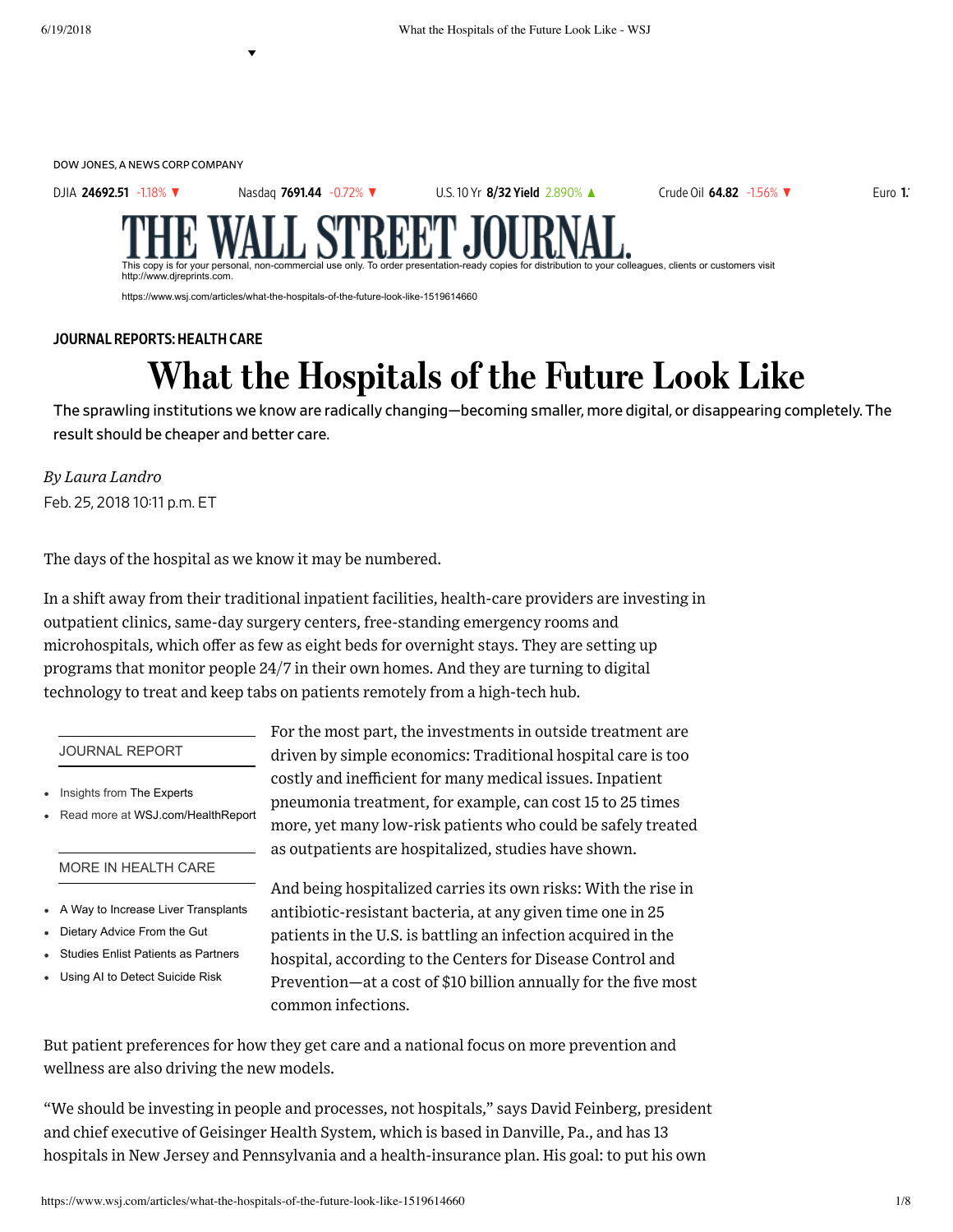DOW JONES, A NEWS CORP COMPANY



https://www.wsj.com/articles/what-the-hospitals-of-the-future-look-like-1519614660

### JOURNAL [REPORTS:](https://www.wsj.com/news/types/journal-reports-health-care) HEALTH CARE

# What the Hospitals of the Future Look Like

The sprawling institutions we know are radically changing—becoming smaller, more digital, or disappearing completely. The result should be cheaper and better care.

Feb. 25, 2018 1011 p.m. ET *By Laura Landro*

The days of the hospital as we know it may be numbered.

In a shift away from their traditional inpatient facilities, health-care providers are investing in outpatient clinics, same-day surgery centers, free-standing emergency rooms and microhospitals, which offer as few as eight beds for overnight stays. They are setting up programs that monitor people 24/7 in their own homes. And they are turning to digital technology to treat and keep tabs on patients remotely from a high-tech hub.

### JOURNAL REPORT

- $\bullet$ Insights from [The Experts](http://blogs.wsj.com/experts/category/health/?mod=experts_health&mod=article_inline)
- Read more at [WSJ.com/HealthReport](http://www.wsj.com/news/types/journal-reports-health-care?mod=article_inline)

### MORE IN HEALTH CARE

- [A Way to Increase Liver Transplants](https://www.wsj.com/articles/less-invasive-liver-donor-surgery-may-shorten-transplant-waiting-list-1519614180?mod=article_inline)  $\bullet$
- [Dietary Advice From the Gut](https://www.wsj.com/articles/dietary-advice-based-on-the-bacteria-in-your-gut-1519614301?mod=article_inline)
- [Studies Enlist Patients as Partners](https://www.wsj.com/articles/medical-researchers-look-to-enlist-patients-as-partners-1519614480?mod=article_inline)
- [Using AI to Detect Suicide Risk](https://www.wsj.com/articles/ai-helps-identify-people-at-risk-for-suicide-1519400853?mod=article_inline)

For the most part, the investments in outside treatment are driven by simple economics: Traditional hospital care is too costly and inefficient for many medical issues. Inpatient pneumonia treatment, for example, can cost 15 to 25 times more, yet many low-risk patients who could be safely treated as outpatients are hospitalized, studies have shown.

And being hospitalized carries its own risks: With the rise in antibiotic-resistant bacteria, at any given time one in 25 patients in the U.S. is battling an infection acquired in the hospital, according to the Centers for Disease Control and [Prevention—at](https://www.cdc.gov/media/releases/2014/p0326-hospital-patients.html?mod=article_inline) a cost of \$10 billion annually for the five most common infections.

But patient preferences for how they get care and a national focus on more prevention and wellness are also driving the new models.

"We should be investing in people and processes, not hospitals," says David Feinberg, president and chief executive of Geisinger Health System, which is based in Danville, Pa., and has 13 hospitals in New Jersey and Pennsylvania and a health-insurance plan. His goal: to put his own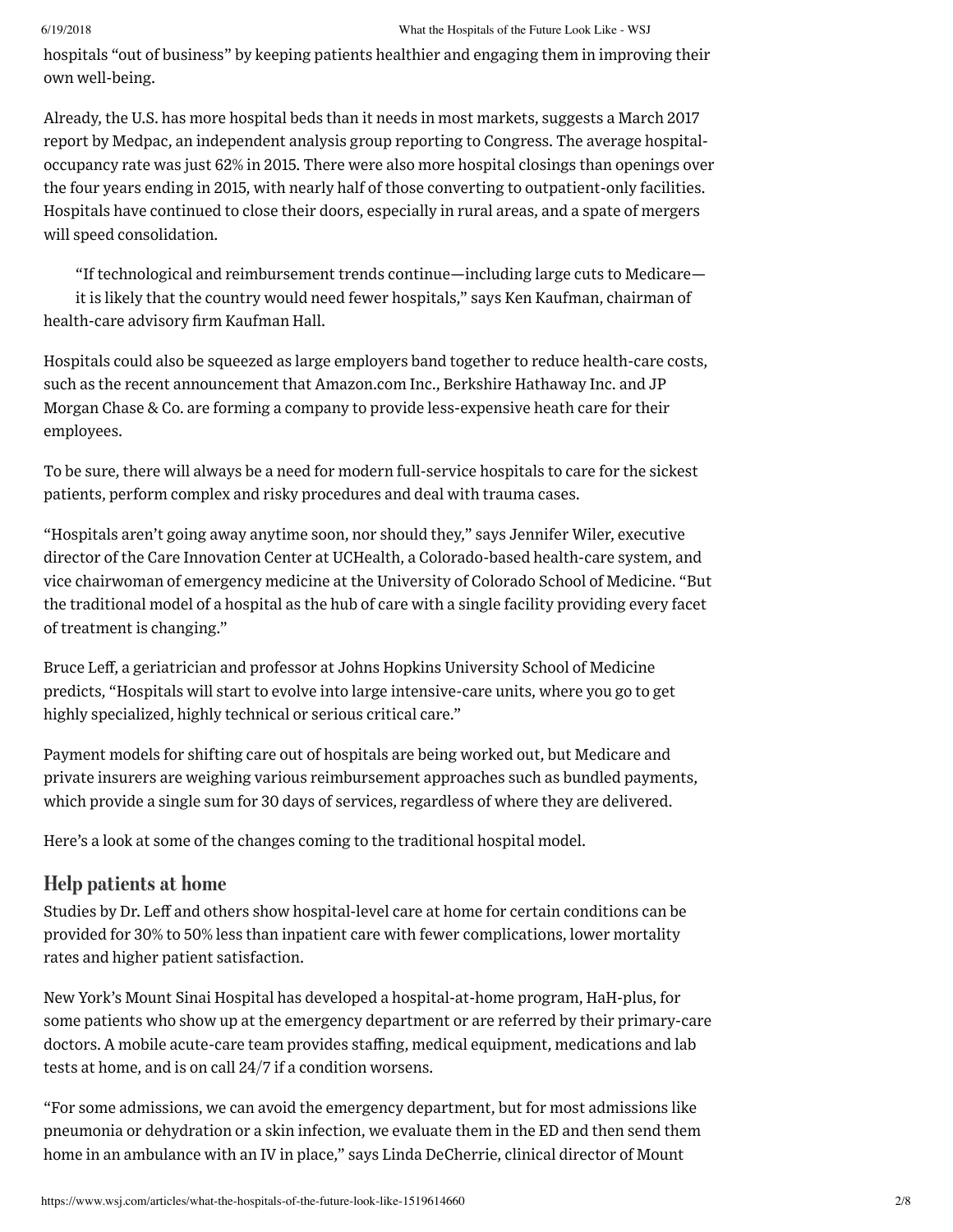### 6/19/2018 What the Hospitals of the Future Look Like - WSJ

hospitals "out of business" by keeping patients healthier and engaging them in improving their own well-being.

Already, the U.S. has more hospital beds than it needs in most markets, suggests a March 2017 report by Medpac, an independent analysis group reporting to Congress. The average hospitaloccupancy rate was just 62% in 2015. There were also more hospital closings than openings over the four years ending in 2015, with nearly half of those converting to outpatient-only facilities. Hospitals have continued to close their doors, especially in rural areas, and a spate of mergers will speed consolidation.

"If technological and reimbursement trends continue—including large cuts to Medicare it is likely that the country would need fewer hospitals," says Ken Kaufman, chairman of health-care advisory firm Kaufman Hall.

Hospitals could also be squeezed as large employers band together to reduce health-care costs, such as the recent announcement that [Amazon.com](http://quotes.wsj.com/AMZN) Inc., Berkshire [Hathaway](http://quotes.wsj.com/BRK.B) Inc. and JP Morgan Chase & Co. are forming a company to provide [less-expensive](http://quotes.wsj.com/JPM) heath care for their employees.

To be sure, there will always be a need for modern full-service hospitals to care for the sickest patients, perform complex and risky procedures and deal with trauma cases.

"Hospitals aren't going away anytime soon, nor should they," says Jennifer Wiler, executive director of the Care Innovation Center at UCHealth, a Colorado-based health-care system, and vice chairwoman of emergency medicine at the University of Colorado School of Medicine. "But the traditional model of a hospital as the hub of care with a single facility providing every facet of treatment is changing."

Bruce Leff, a geriatrician and professor at Johns Hopkins University School of Medicine predicts, "Hospitals will start to evolve into large intensive-care units, where you go to get highly specialized, highly technical or serious critical care."

Payment models for shifting care out of hospitals are being worked out, but Medicare and private insurers are weighing various reimbursement approaches such as bundled payments, which provide a single sum for 30 days of services, regardless of where they are delivered.

Here's a look at some of the changes coming to the traditional hospital model.

# Help patients at home

Studies by Dr. Leff and others show hospital-level care at home for certain conditions can be provided for 30% to 50% less than inpatient care with fewer complications, lower mortality rates and higher patient satisfaction.

New York's Mount Sinai Hospital has developed a hospital-at-home program, HaH-plus, for some patients who show up at the emergency department or are referred by their primary-care doctors. A mobile acute-care team provides staffing, medical equipment, medications and lab tests at home, and is on call 24/7 if a condition worsens.

"For some admissions, we can avoid the emergency department, but for most admissions like pneumonia or dehydration or a skin infection, we evaluate them in the ED and then send them home in an ambulance with an IV in place," says Linda DeCherrie, clinical director of Mount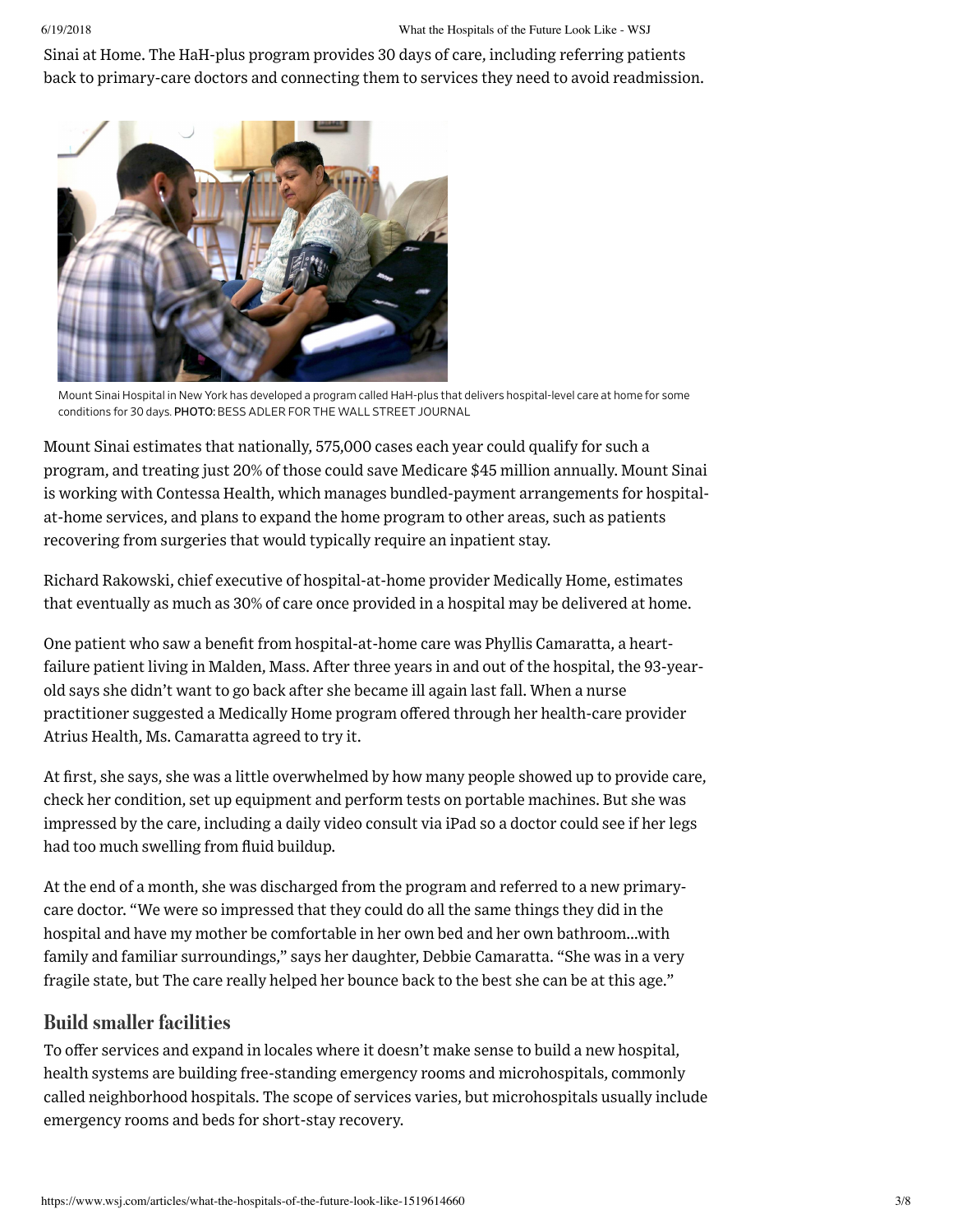Sinai at Home. The HaH-plus program provides 30 days of care, including referring patients back to primary-care doctors and connecting them to services they need to avoid readmission.



Mount Sinai Hospital in New York has developed a program called HaH-plus that delivers hospital-level care at home for some conditions for 30 days. PHOTO: BESS ADLER FOR THE WALL STREET JOURNAL

Mount Sinai estimates that nationally, 575,000 cases each year could qualify for such a program, and treating just 20% of those could save Medicare \$45 million annually. Mount Sinai is working with Contessa Health, which manages bundled-payment arrangements for hospitalat-home services, and plans to expand the home program to other areas, such as patients recovering from surgeries that would typically require an inpatient stay.

Richard Rakowski, chief executive of hospital-at-home provider Medically Home, estimates that eventually as much as 30% of care once provided in a hospital may be delivered at home.

One patient who saw a benefit from hospital-at-home care was Phyllis Camaratta, a heartfailure patient living in Malden, Mass. After three years in and out of the hospital, the 93-yearold says she didn't want to go back after she became ill again last fall. When a nurse practitioner suggested a Medically Home program offered through her health-care provider Atrius Health, Ms. Camaratta agreed to try it.

At first, she says, she was a little overwhelmed by how many people showed up to provide care, check her condition, set up equipment and perform tests on portable machines. But she was impressed by the care, including a daily video consult via iPad so a doctor could see if her legs had too much swelling from fluid buildup.

At the end of a month, she was discharged from the program and referred to a new primarycare doctor. "We were so impressed that they could do all the same things they did in the hospital and have my mother be comfortable in her own bed and her own bathroom…with family and familiar surroundings," says her daughter, Debbie Camaratta. "She was in a very fragile state, but The care really helped her bounce back to the best she can be at this age."

### Build smaller facilities

To offer services and expand in locales where it doesn't make sense to build a new hospital, health systems are building free-standing emergency rooms and microhospitals, commonly called neighborhood hospitals. The scope of services varies, but microhospitals usually include emergency rooms and beds for short-stay recovery.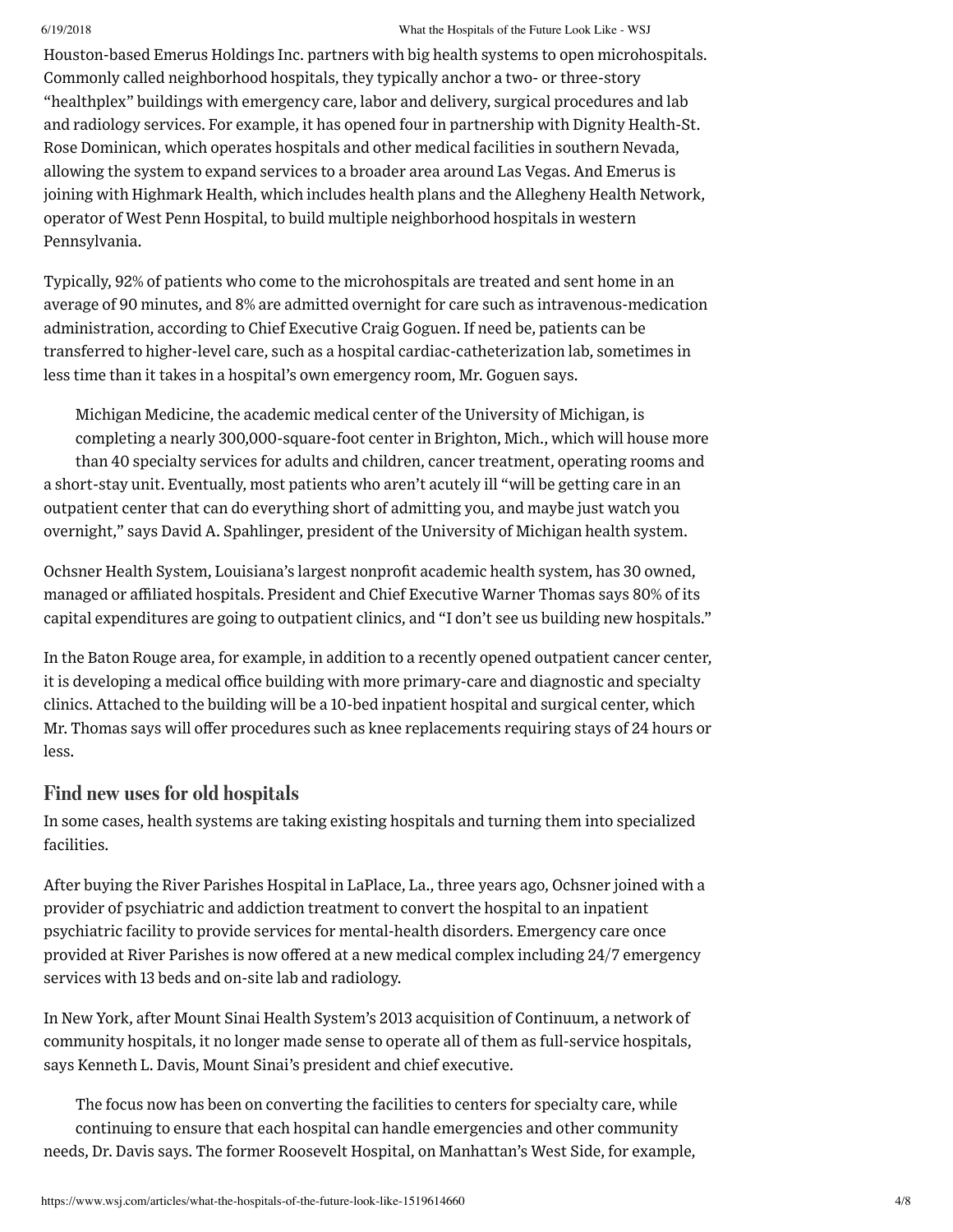### 6/19/2018 What the Hospitals of the Future Look Like - WSJ

Houston-based Emerus Holdings Inc. partners with big health systems to open microhospitals. Commonly called neighborhood hospitals, they typically anchor a two- or three-story "healthplex" buildings with emergency care, labor and delivery, surgical procedures and lab and radiology services. For example, it has opened four in partnership with Dignity Health-St. Rose Dominican, which operates hospitals and other medical facilities in southern Nevada, allowing the system to expand services to a broader area around Las Vegas. And Emerus is joining with Highmark Health, which includes health plans and the Allegheny Health Network, operator of West Penn Hospital, to build multiple neighborhood hospitals in western Pennsylvania.

Typically, 92% of patients who come to the microhospitals are treated and sent home in an average of 90 minutes, and 8% are admitted overnight for care such as intravenous-medication administration, according to Chief Executive Craig Goguen. If need be, patients can be transferred to higher-level care, such as a hospital cardiac-catheterization lab, sometimes in less time than it takes in a hospital's own emergency room, Mr. Goguen says.

Michigan Medicine, the academic medical center of the University of Michigan, is completing a nearly 300,000-square-foot center in Brighton, Mich., which will house more than 40 specialty services for adults and children, cancer treatment, operating rooms and a short-stay unit. Eventually, most patients who aren't acutely ill "will be getting care in an outpatient center that can do everything short of admitting you, and maybe just watch you overnight," says David A. Spahlinger, president of the University of Michigan health system.

Ochsner Health System, Louisiana's largest nonprofit academic health system, has 30 owned, managed or affiliated hospitals. President and Chief Executive Warner Thomas says 80% of its capital expenditures are going to outpatient clinics, and "I don't see us building new hospitals."

In the Baton Rouge area, for example, in addition to a recently opened outpatient cancer center, it is developing a medical office building with more primary-care and diagnostic and specialty clinics. Attached to the building will be a 10-bed inpatient hospital and surgical center, which Mr. Thomas says will offer procedures such as knee replacements requiring stays of 24 hours or less.

### Find new uses for old hospitals

In some cases, health systems are taking existing hospitals and turning them into specialized facilities.

After buying the River Parishes Hospital in LaPlace, La., three years ago, Ochsner joined with a provider of psychiatric and addiction treatment to convert the hospital to an inpatient psychiatric facility to provide services for mental-health disorders. Emergency care once provided at River Parishes is now offered at a new medical complex including 24/7 emergency services with 13 beds and on-site lab and radiology.

In New York, after Mount Sinai Health System's 2013 acquisition of Continuum, a network of community hospitals, it no longer made sense to operate all of them as full-service hospitals, says Kenneth L. Davis, Mount Sinai's president and chief executive.

The focus now has been on converting the facilities to centers for specialty care, while continuing to ensure that each hospital can handle emergencies and other community needs, Dr. Davis says. The former Roosevelt Hospital, on Manhattan's West Side, for example,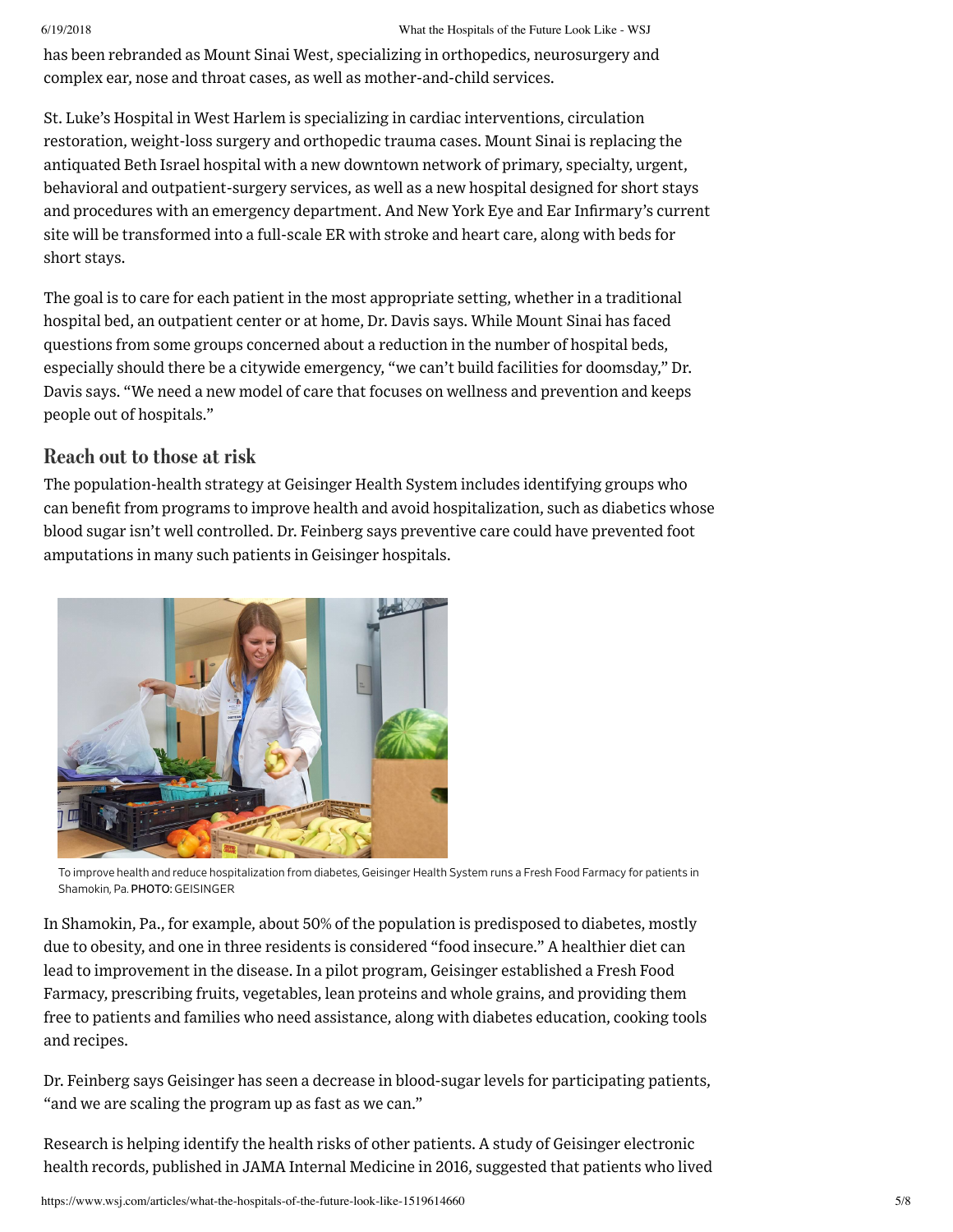has been rebranded as Mount Sinai West, specializing in orthopedics, neurosurgery and complex ear, nose and throat cases, as well as mother-and-child services.

St. Luke's Hospital in West Harlem is specializing in cardiac interventions, circulation restoration, weight-loss surgery and orthopedic trauma cases. Mount Sinai is replacing the antiquated Beth Israel hospital with a new downtown network of primary, specialty, urgent, behavioral and outpatient-surgery services, as well as a new hospital designed for short stays and procedures with an emergency department. And New York Eye and Ear Infirmary's current site will be transformed into a full-scale ER with stroke and heart care, along with beds for short stays.

The goal is to care for each patient in the most appropriate setting, whether in a traditional hospital bed, an outpatient center or at home, Dr. Davis says. While Mount Sinai has faced questions from some groups concerned about a reduction in the number of hospital beds, especially should there be a citywide emergency, "we can't build facilities for doomsday," Dr. Davis says. "We need a new model of care that focuses on wellness and prevention and keeps people out of hospitals."

# Reach out to those at risk

The population-health strategy at Geisinger Health System includes identifying groups who can benefit from programs to improve health and avoid hospitalization, such as diabetics whose blood sugar isn't well controlled. Dr. Feinberg says preventive care could have prevented foot amputations in many such patients in Geisinger hospitals.



To improve health and reduce hospitalization from diabetes, Geisinger Health System runs a Fresh Food Farmacy for patients in Shamokin, Pa. PHOTO: GEISINGER

In Shamokin, Pa., for example, about 50% of the population is predisposed to diabetes, mostly due to obesity, and one in three residents is considered "food insecure." A healthier diet can lead to improvement in the disease. In a pilot program, Geisinger established a Fresh Food Farmacy, prescribing fruits, vegetables, lean proteins and whole grains, and providing them free to patients and families who need assistance, along with diabetes education, cooking tools and recipes.

Dr. Feinberg says Geisinger has seen a decrease in blood-sugar levels for participating patients, "and we are scaling the program up as fast as we can."

Research is helping identify the health risks of other patients. A study of Geisinger electronic health records, published in JAMA Internal Medicine in 2016, suggested that patients who lived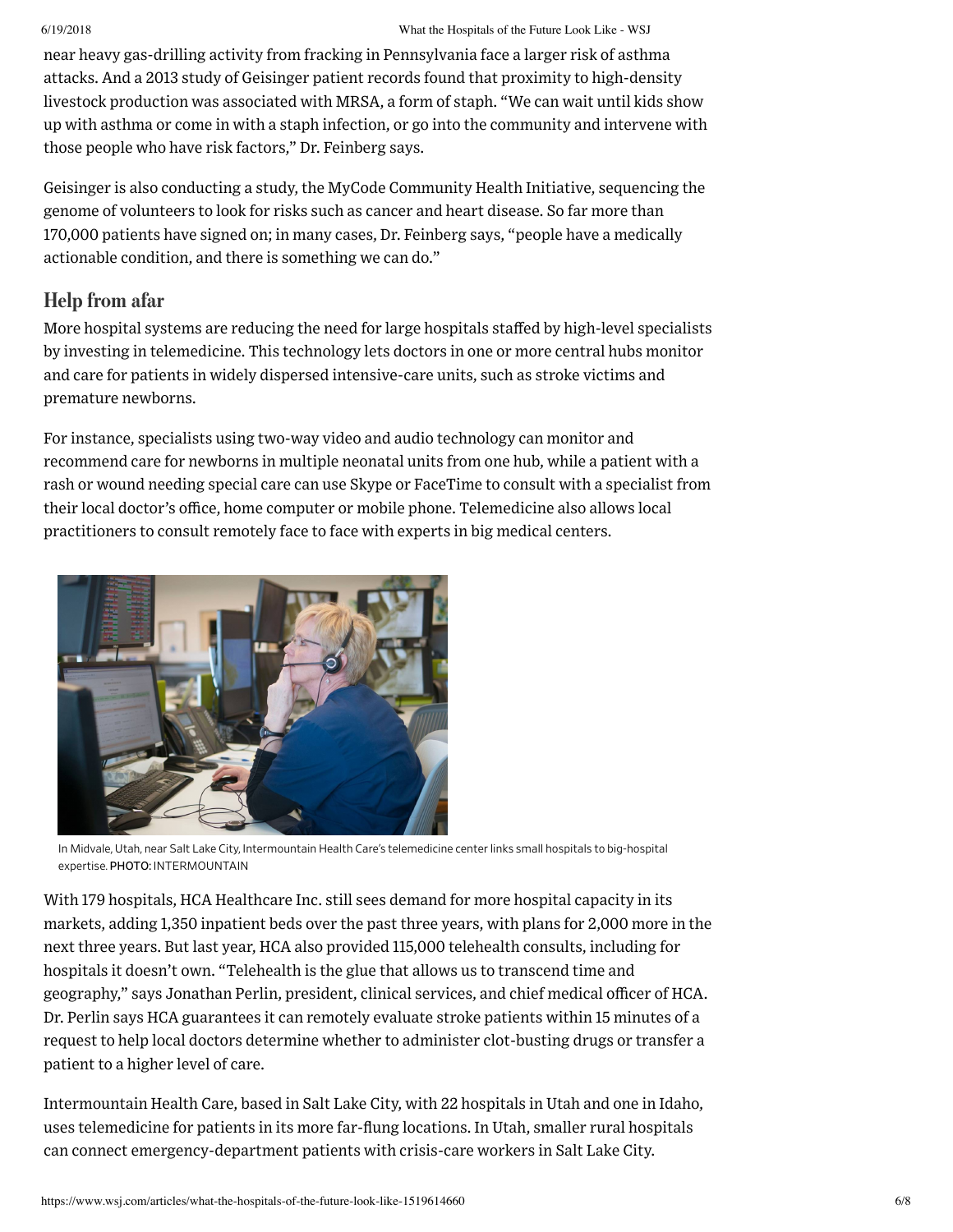near heavy gas-drilling activity from fracking in Pennsylvania face a larger risk of asthma attacks. And a 2013 study of Geisinger patient records found that proximity to high-density livestock production was associated with MRSA, a form of staph. "We can wait until kids show up with asthma or come in with a staph infection, or go into the community and intervene with those people who have risk factors," Dr. Feinberg says.

Geisinger is also conducting a study, the MyCode Community Health Initiative, sequencing the genome of volunteers to look for risks such as cancer and heart disease. So far more than 170,000 patients have signed on; in many cases, Dr. Feinberg says, "people have a medically actionable condition, and there is something we can do."

## Help from afar

More hospital systems are reducing the need for large hospitals staffed by high-level specialists by investing in telemedicine. This technology lets doctors in one or more central hubs monitor and care for patients in widely dispersed intensive-care units, such as stroke victims and premature newborns.

For instance, specialists using two-way video and audio technology can monitor and recommend care for newborns in multiple neonatal units from one hub, while a patient with a rash or wound needing special care can use Skype or FaceTime to consult with a specialist from their local doctor's office, home computer or mobile phone. Telemedicine also allows local practitioners to consult remotely face to face with experts in big medical centers.



In Midvale, Utah, near Salt Lake City, Intermountain Health Care's telemedicine center links small hospitals to big-hospital expertise. PHOTO: INTERMOUNTAIN

With 179 hospitals, HCA [Healthcare](http://quotes.wsj.com/HCA) Inc. still sees demand for more hospital capacity in its markets, adding 1,350 inpatient beds over the past three years, with plans for 2,000 more in the next three years. But last year, HCA also provided 115,000 telehealth consults, including for hospitals it doesn't own. "Telehealth is the glue that allows us to transcend time and geography," says Jonathan Perlin, president, clinical services, and chief medical officer of HCA. Dr. Perlin says HCA guarantees it can remotely evaluate stroke patients within 15 minutes of a request to help local doctors determine whether to administer clot-busting drugs or transfer a patient to a higher level of care.

Intermountain Health Care, based in Salt Lake City, with 22 hospitals in Utah and one in Idaho, uses telemedicine for patients in its more far-flung locations. In Utah, smaller rural hospitals can connect emergency-department patients with crisis-care workers in Salt Lake City.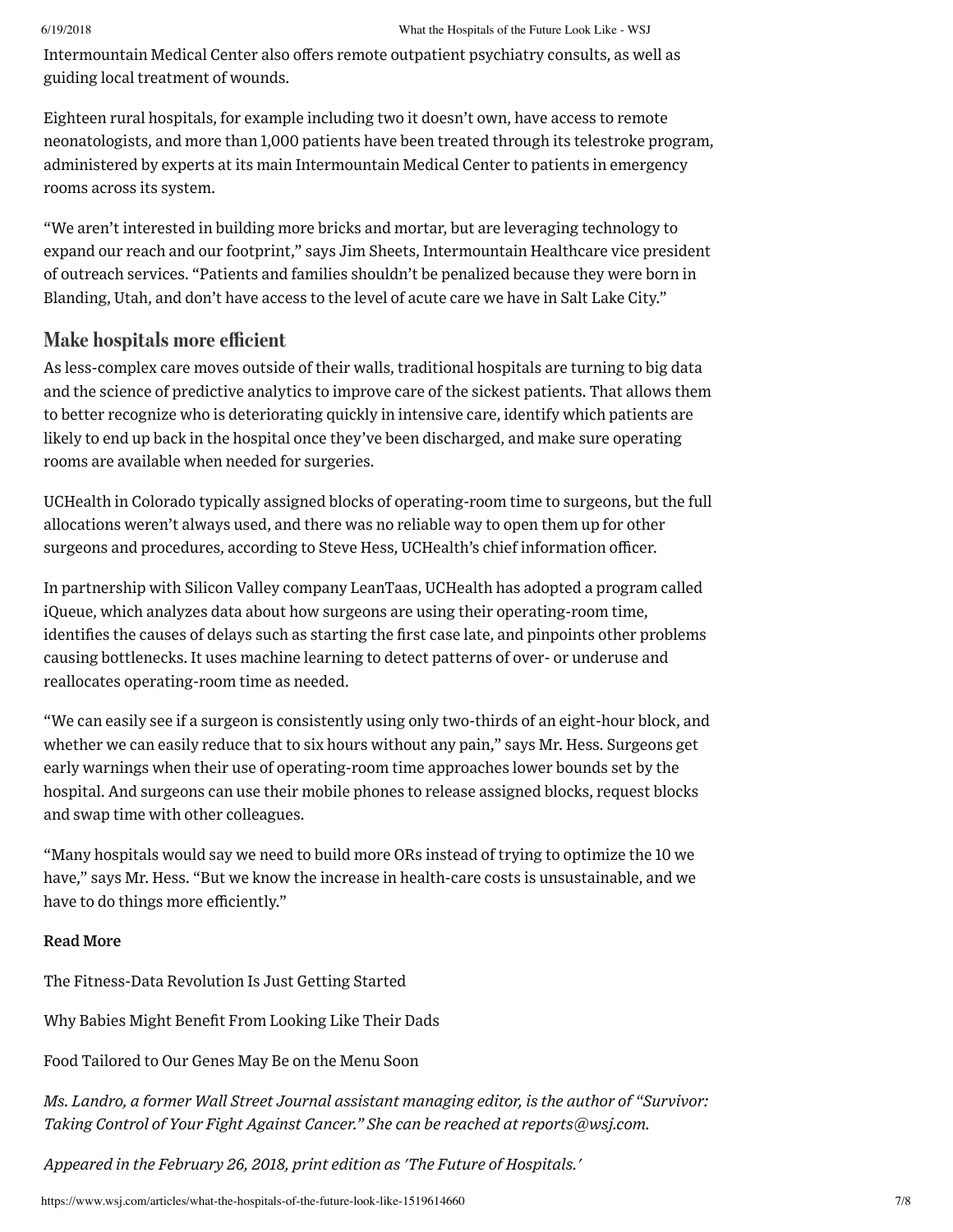Intermountain Medical Center also offers remote outpatient psychiatry consults, as well as guiding local treatment of wounds.

Eighteen rural hospitals, for example including two it doesn't own, have access to remote neonatologists, and more than 1,000 patients have been treated through its telestroke program, administered by experts at its main Intermountain Medical Center to patients in emergency rooms across its system.

"We aren't interested in building more bricks and mortar, but are leveraging technology to expand our reach and our footprint," says Jim Sheets, Intermountain Healthcare vice president of outreach services. "Patients and families shouldn't be penalized because they were born in Blanding, Utah, and don't have access to the level of acute care we have in Salt Lake City."

# Make hospitals more efficient

As less-complex care moves outside of their walls, traditional hospitals are turning to big data and the science of predictive analytics to improve care of the sickest patients. That allows them to better recognize who is deteriorating quickly in intensive care, identify which patients are likely to end up back in the hospital once they've been discharged, and make sure operating rooms are available when needed for surgeries.

UCHealth in Colorado typically assigned blocks of operating-room time to surgeons, but the full allocations weren't always used, and there was no reliable way to open them up for other surgeons and procedures, according to Steve Hess, UCHealth's chief information officer.

In partnership with Silicon Valley company LeanTaas, UCHealth has adopted a program called iQueue, which analyzes data about how surgeons are using their operating-room time, identifies the causes of delays such as starting the first case late, and pinpoints other problems causing bottlenecks. It uses machine learning to detect patterns of over- or underuse and reallocates operating-room time as needed.

"We can easily see if a surgeon is consistently using only two-thirds of an eight-hour block, and whether we can easily reduce that to six hours without any pain," says Mr. Hess. Surgeons get early warnings when their use of operating-room time approaches lower bounds set by the hospital. And surgeons can use their mobile phones to release assigned blocks, request blocks and swap time with other colleagues.

"Many hospitals would say we need to build more ORs instead of trying to optimize the 10 we have," says Mr. Hess. "But we know the increase in health-care costs is unsustainable, and we have to do things more efficiently."

# Read More

The [Fitness-Data](https://www.wsj.com/articles/the-fitness-data-revolution-is-just-getting-started-1519614540?mod=wsjan&mod=article_inline) Revolution Is Just Getting Started

Why Babies Might Benefit From [Looking](https://www.wsj.com/articles/why-babies-might-benefit-from-looking-like-their-dads-1519614000?mod=wsjan&mod=article_inline) Like Their Dads

Food [Tailored](https://www.wsj.com/articles/food-tailored-to-our-genes-may-be-on-the-menu-soon-1519614240?mod=wsjan&mod=article_inline) to Our Genes May Be on the Menu Soon

*Ms. Landro, a former Wall Street Journal assistant managing editor, is the author of "Survivor: Taking Control of Your Fight Against Cancer." She can be reached at [reports@wsj.com](mailto:reports@wsj.com).*

*Appeared in the February 26, 2018, print edition as 'The Future of Hospitals.'*